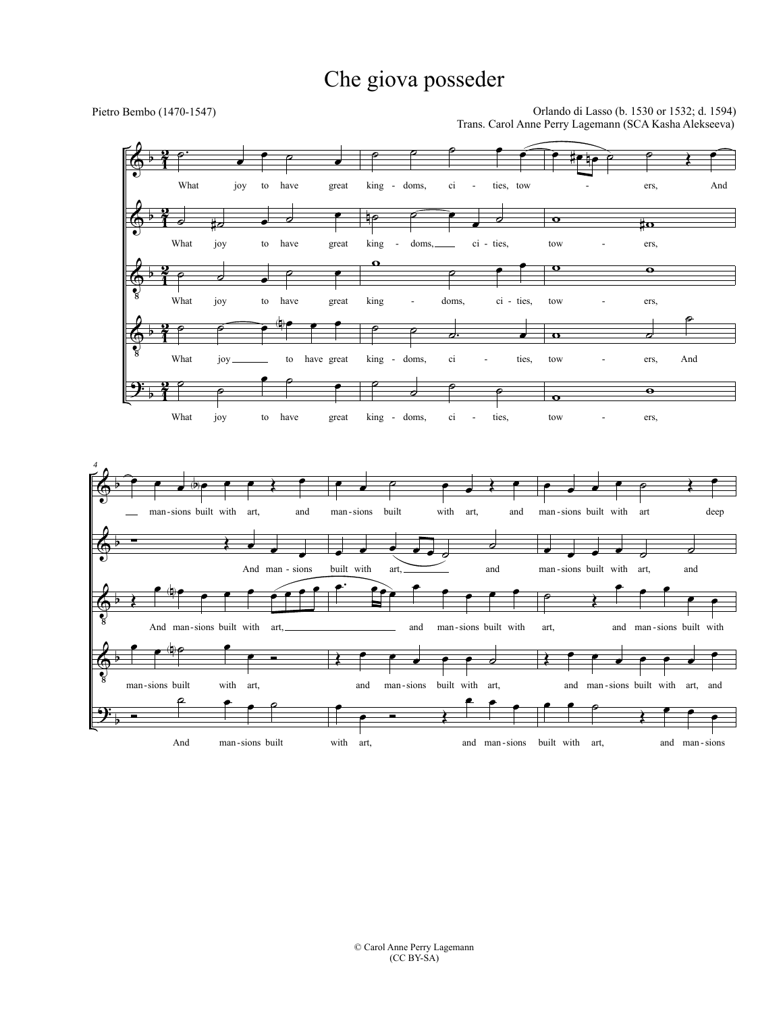## Che giova posseder

Pietro Bembo (1470-1547)

Orlando di Lasso (b. 1530 or 1532; d. 1594) Trans. Carol Anne Perry Lagemann (SCA Kasha Alekseeva)

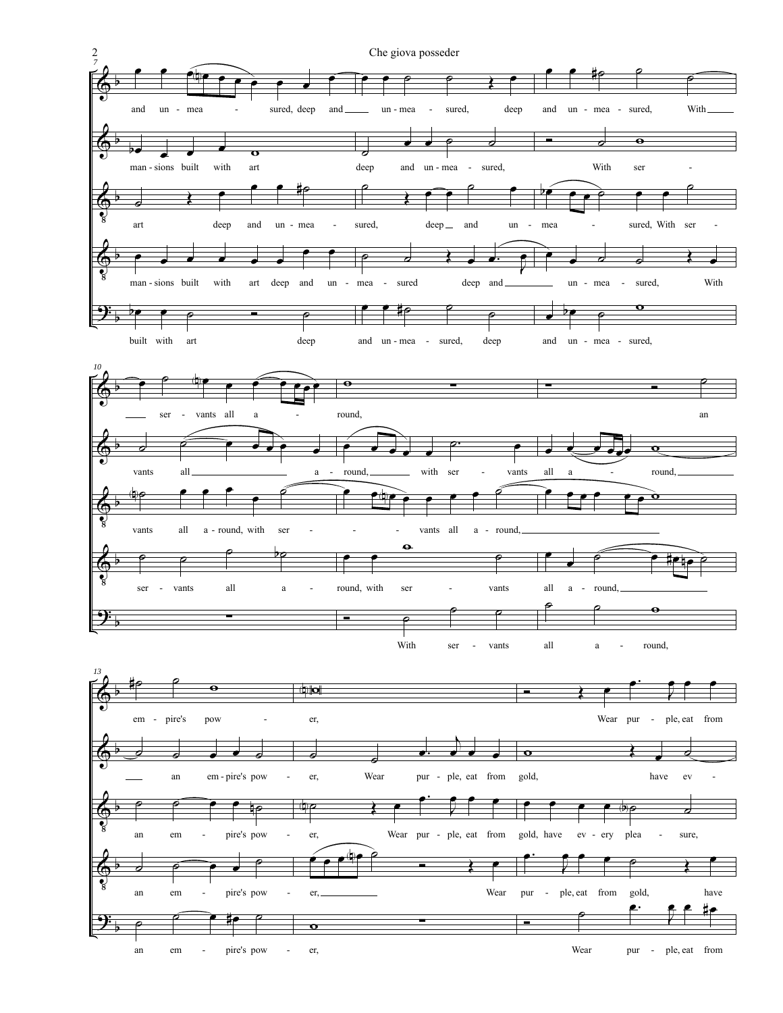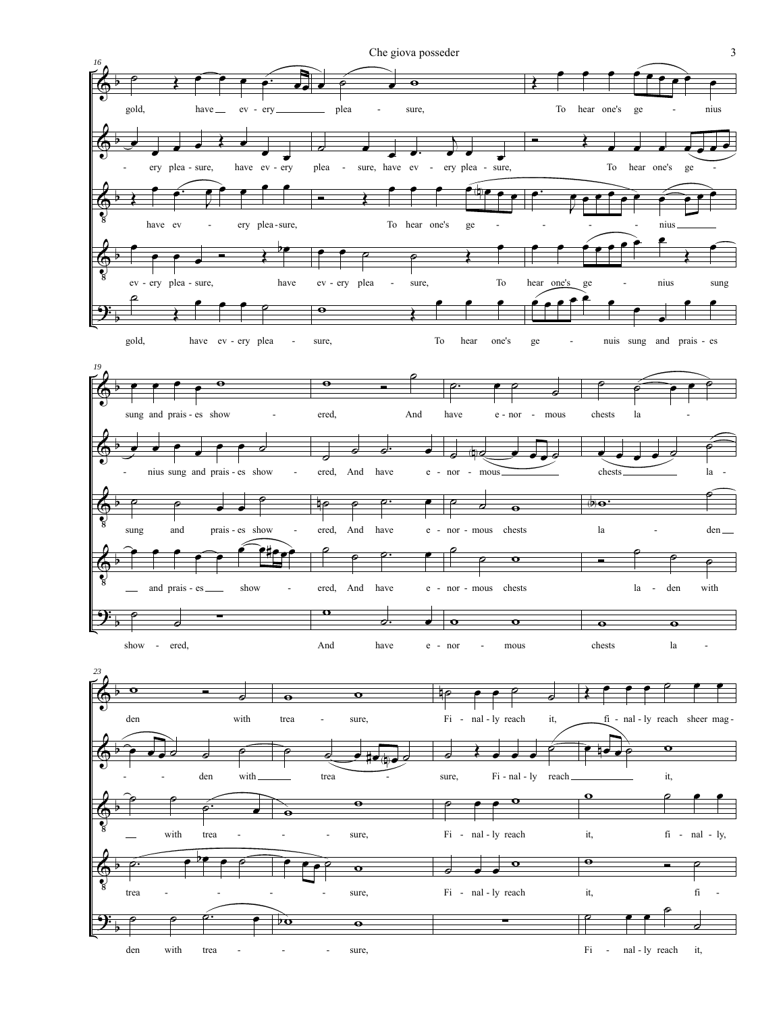

 $\rm{Fi}$ it, nal - ly reach  $\sim$